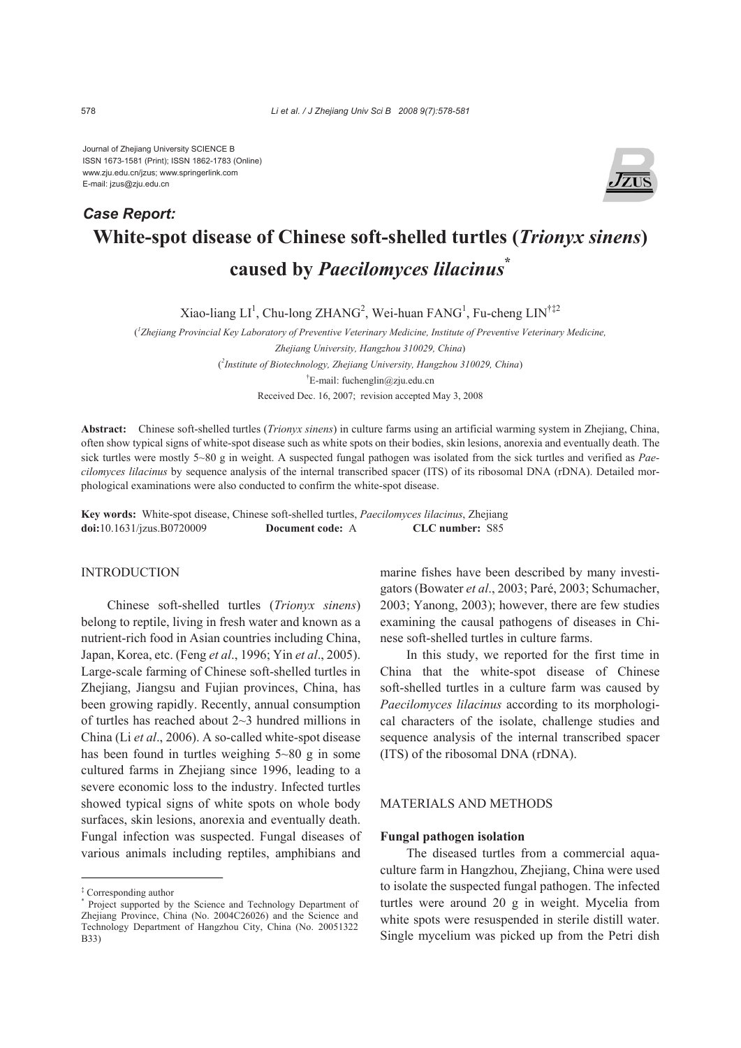Journal of Zhejiang University SCIENCE B ISSN 1673-1581 (Print); ISSN 1862-1783 (Online) www.zju.edu.cn/jzus; www.springerlink.com E-mail: jzus@zju.edu.cn



# **White-spot disease of Chinese soft-shelled turtles (***Trionyx sinens***) caused by** *Paecilomyces lilacinus***\*** *Case Report:*

Xiao-liang  $LI^1$ , Chu-long ZHANG<sup>2</sup>, Wei-huan FANG<sup>1</sup>, Fu-cheng  $LIN^{\dagger\ddagger 2}$ 

( *1 Zhejiang Provincial Key Laboratory of Preventive Veterinary Medicine, Institute of Preventive Veterinary Medicine, Zhejiang University, Hangzhou 310029, China*) ( *2 Institute of Biotechnology, Zhejiang University, Hangzhou 310029, China*) † E-mail: fuchenglin@zju.edu.cn Received Dec. 16, 2007; revision accepted May 3, 2008

**Abstract:** Chinese soft-shelled turtles (*Trionyx sinens*) in culture farms using an artificial warming system in Zhejiang, China, often show typical signs of white-spot disease such as white spots on their bodies, skin lesions, anorexia and eventually death. The sick turtles were mostly 5~80 g in weight. A suspected fungal pathogen was isolated from the sick turtles and verified as *Paecilomyces lilacinus* by sequence analysis of the internal transcribed spacer (ITS) of its ribosomal DNA (rDNA). Detailed morphological examinations were also conducted to confirm the white-spot disease.

**Key words:** White-spot disease, Chinese soft-shelled turtles, *Paecilomyces lilacinus*, Zhejiang **doi:**10.1631/jzus.B0720009 **Document code:** A **CLC number:** S85

#### INTRODUCTION

Chinese soft-shelled turtles (*Trionyx sinens*) belong to reptile, living in fresh water and known as a nutrient-rich food in Asian countries including China, Japan, Korea, etc. (Feng *et al*., 1996; Yin *et al*., 2005). Large-scale farming of Chinese soft-shelled turtles in Zhejiang, Jiangsu and Fujian provinces, China, has been growing rapidly. Recently, annual consumption of turtles has reached about 2~3 hundred millions in China (Li *et al*., 2006). A so-called white-spot disease has been found in turtles weighing  $5~80~\text{g}$  in some cultured farms in Zhejiang since 1996, leading to a severe economic loss to the industry. Infected turtles showed typical signs of white spots on whole body surfaces, skin lesions, anorexia and eventually death. Fungal infection was suspected. Fungal diseases of various animals including reptiles, amphibians and marine fishes have been described by many investigators (Bowater *et al*., 2003; Paré, 2003; Schumacher, 2003; Yanong, 2003); however, there are few studies examining the causal pathogens of diseases in Chinese soft-shelled turtles in culture farms.

In this study, we reported for the first time in China that the white-spot disease of Chinese soft-shelled turtles in a culture farm was caused by *Paecilomyces lilacinus* according to its morphological characters of the isolate, challenge studies and sequence analysis of the internal transcribed spacer (ITS) of the ribosomal DNA (rDNA).

# MATERIALS AND METHODS

# **Fungal pathogen isolation**

The diseased turtles from a commercial aquaculture farm in Hangzhou, Zhejiang, China were used to isolate the suspected fungal pathogen. The infected turtles were around 20 g in weight. Mycelia from white spots were resuspended in sterile distill water. Single mycelium was picked up from the Petri dish

<sup>‡</sup> Corresponding author

<sup>\*</sup> Project supported by the Science and Technology Department of Zhejiang Province, China (No. 2004C26026) and the Science and Technology Department of Hangzhou City, China (No. 20051322 B33)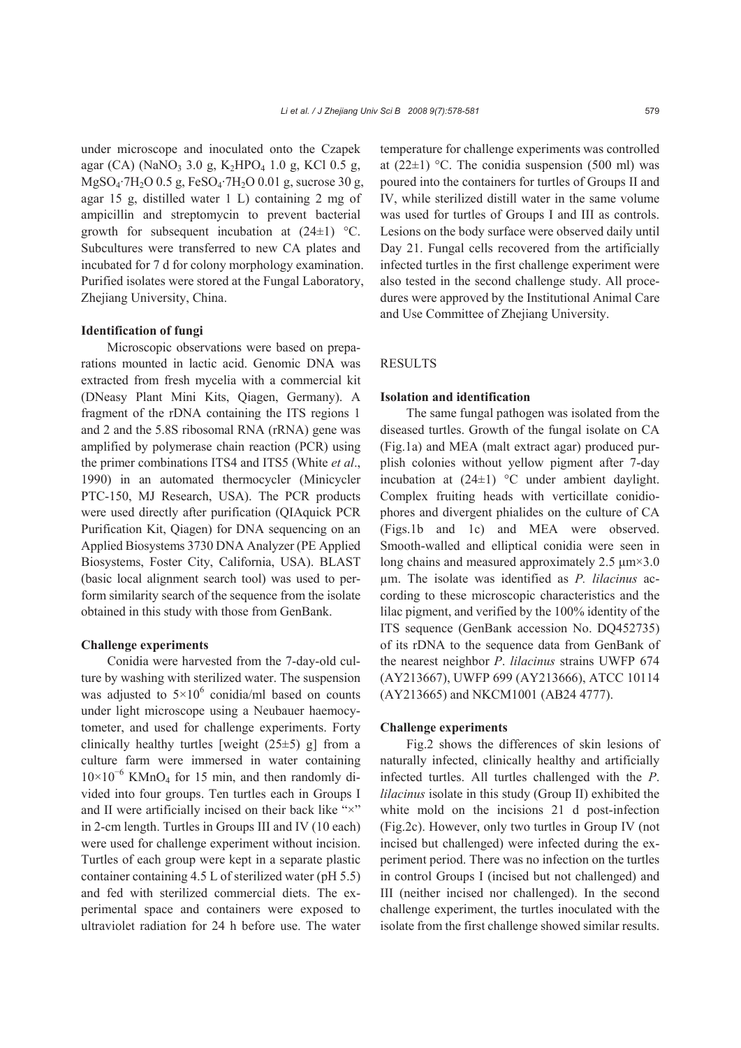under microscope and inoculated onto the Czapek agar (CA) (NaNO<sub>3</sub> 3.0 g, K<sub>2</sub>HPO<sub>4</sub> 1.0 g, KCl 0.5 g, MgSO4·7H2O 0.5 g, FeSO4·7H2O 0.01 g, sucrose 30 g, agar 15 g, distilled water 1 L) containing 2 mg of ampicillin and streptomycin to prevent bacterial growth for subsequent incubation at  $(24\pm 1)$  °C. Subcultures were transferred to new CA plates and incubated for 7 d for colony morphology examination. Purified isolates were stored at the Fungal Laboratory, Zhejiang University, China.

#### **Identification of fungi**

Microscopic observations were based on preparations mounted in lactic acid. Genomic DNA was extracted from fresh mycelia with a commercial kit (DNeasy Plant Mini Kits, Qiagen, Germany). A fragment of the rDNA containing the ITS regions 1 and 2 and the 5.8S ribosomal RNA (rRNA) gene was amplified by polymerase chain reaction (PCR) using the primer combinations ITS4 and ITS5 (White *et al*., 1990) in an automated thermocycler (Minicycler PTC-150, MJ Research, USA). The PCR products were used directly after purification (QIAquick PCR Purification Kit, Qiagen) for DNA sequencing on an Applied Biosystems 3730 DNA Analyzer (PE Applied Biosystems, Foster City, California, USA). BLAST (basic local alignment search tool) was used to perform similarity search of the sequence from the isolate obtained in this study with those from GenBank.

#### **Challenge experiments**

Conidia were harvested from the 7-day-old culture by washing with sterilized water. The suspension was adjusted to  $5 \times 10^6$  conidia/ml based on counts under light microscope using a Neubauer haemocytometer, and used for challenge experiments. Forty clinically healthy turtles [weight  $(25±5)$  g] from a culture farm were immersed in water containing 10×10<sup>−</sup><sup>6</sup> KMnO4 for 15 min, and then randomly divided into four groups. Ten turtles each in Groups I and II were artificially incised on their back like "×" in 2-cm length. Turtles in Groups III and IV (10 each) were used for challenge experiment without incision. Turtles of each group were kept in a separate plastic container containing 4.5 L of sterilized water (pH 5.5) and fed with sterilized commercial diets. The experimental space and containers were exposed to ultraviolet radiation for 24 h before use. The water

temperature for challenge experiments was controlled at  $(22\pm 1)$  °C. The conidia suspension (500 ml) was poured into the containers for turtles of Groups II and IV, while sterilized distill water in the same volume was used for turtles of Groups I and III as controls. Lesions on the body surface were observed daily until Day 21. Fungal cells recovered from the artificially infected turtles in the first challenge experiment were also tested in the second challenge study. All procedures were approved by the Institutional Animal Care and Use Committee of Zhejiang University.

## RESULTS

#### **Isolation and identification**

The same fungal pathogen was isolated from the diseased turtles. Growth of the fungal isolate on CA (Fig.1a) and MEA (malt extract agar) produced purplish colonies without yellow pigment after 7-day incubation at (24±1) °C under ambient daylight. Complex fruiting heads with verticillate conidiophores and divergent phialides on the culture of CA (Figs.1b and 1c) and MEA were observed. Smooth-walled and elliptical conidia were seen in long chains and measured approximately  $2.5 \mu m \times 3.0$ µm. The isolate was identified as *P. lilacinus* according to these microscopic characteristics and the lilac pigment, and verified by the 100% identity of the ITS sequence (GenBank accession No. DQ452735) of its rDNA to the sequence data from GenBank of the nearest neighbor *P*. *lilacinus* strains UWFP 674 (AY213667), UWFP 699 (AY213666), ATCC 10114 (AY213665) and NKCM1001 (AB24 4777).

## **Challenge experiments**

Fig.2 shows the differences of skin lesions of naturally infected, clinically healthy and artificially infected turtles. All turtles challenged with the *P*. *lilacinus* isolate in this study (Group II) exhibited the white mold on the incisions 21 d post-infection (Fig.2c). However, only two turtles in Group IV (not incised but challenged) were infected during the experiment period. There was no infection on the turtles in control Groups I (incised but not challenged) and III (neither incised nor challenged). In the second challenge experiment, the turtles inoculated with the isolate from the first challenge showed similar results.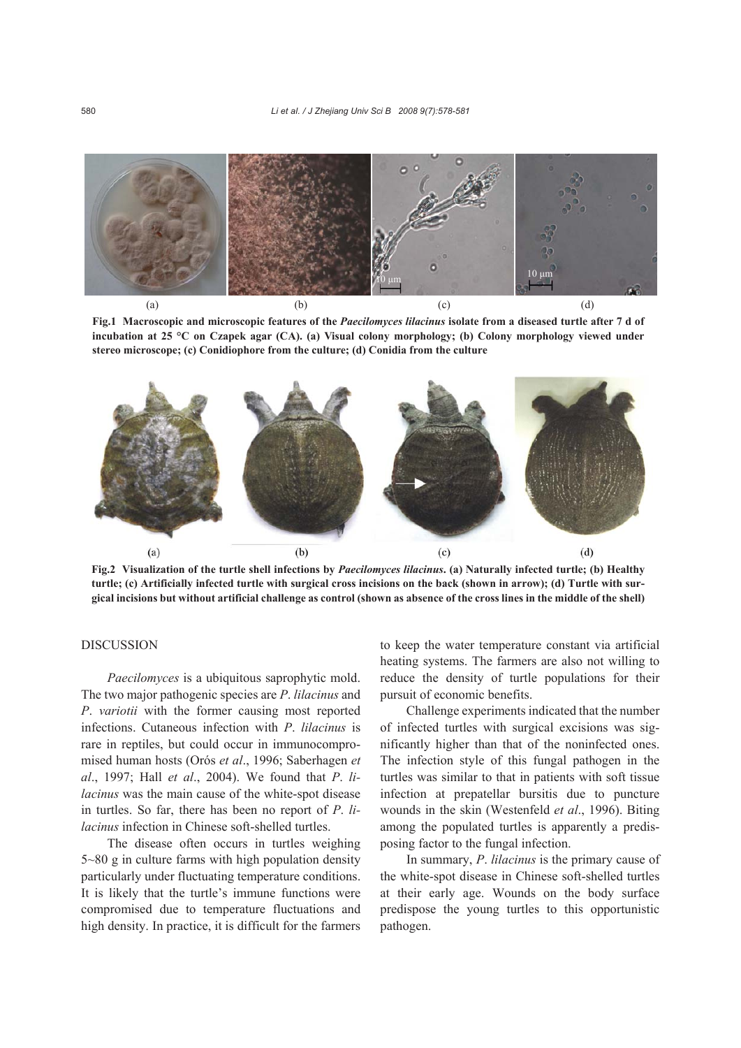

**Fig.1 Macroscopic and microscopic features of the** *Paecilomyces lilacinus* **isolate from a diseased turtle after 7 d of incubation at 25 °C on Czapek agar (CA). (a) Visual colony morphology; (b) Colony morphology viewed under stereo microscope; (c) Conidiophore from the culture; (d) Conidia from the culture** 



**Fig.2 Visualization of the turtle shell infections by** *Paecilomyces lilacinus***. (a) Naturally infected turtle; (b) Healthy turtle; (c) Artificially infected turtle with surgical cross incisions on the back (shown in arrow); (d) Turtle with surgical incisions but without artificial challenge as control (shown as absence of the cross lines in the middle of the shell)**

# DISCUSSION

*Paecilomyces* is a ubiquitous saprophytic mold. The two major pathogenic species are *P*. *lilacinus* and *P*. *variotii* with the former causing most reported infections. Cutaneous infection with *P*. *lilacinus* is rare in reptiles, but could occur in immunocompromised human hosts (Orós *et al*., 1996; Saberhagen *et al*., 1997; Hall *et al*., 2004). We found that *P*. *lilacinus* was the main cause of the white-spot disease in turtles. So far, there has been no report of *P*. *lilacinus* infection in Chinese soft-shelled turtles.

The disease often occurs in turtles weighing 5~80 g in culture farms with high population density particularly under fluctuating temperature conditions. It is likely that the turtle's immune functions were compromised due to temperature fluctuations and high density. In practice, it is difficult for the farmers

to keep the water temperature constant via artificial heating systems. The farmers are also not willing to reduce the density of turtle populations for their pursuit of economic benefits.

Challenge experiments indicated that the number of infected turtles with surgical excisions was significantly higher than that of the noninfected ones. The infection style of this fungal pathogen in the turtles was similar to that in patients with soft tissue infection at prepatellar bursitis due to puncture wounds in the skin (Westenfeld *et al*., 1996). Biting among the populated turtles is apparently a predisposing factor to the fungal infection.

In summary, *P*. *lilacinus* is the primary cause of the white-spot disease in Chinese soft-shelled turtles at their early age. Wounds on the body surface predispose the young turtles to this opportunistic pathogen.